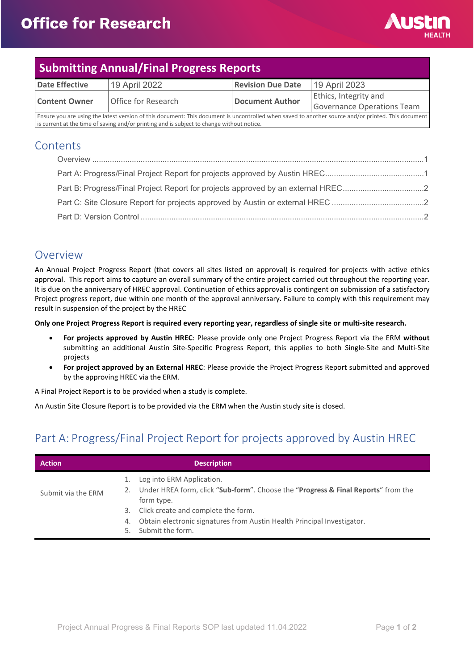

#### **Submitting Annual/Final Progress Reports Date Effective** | 19 April 2022 | **Revision Due Date** | 19 April 2023 **Content Owner Office for Research <b>Document Author** Ethics, Integrity and Governance Operations Team Ensure you are using the latest version of this document: This document is uncontrolled when saved to another source and/or printed. This document is current at the time of saving and/or printing and is subject to change without notice

**Contents** 

| Part B: Progress/Final Project Report for projects approved by an external HREC2 |  |
|----------------------------------------------------------------------------------|--|
|                                                                                  |  |
|                                                                                  |  |

### <span id="page-0-0"></span>Overview

An Annual Project Progress Report (that covers all sites listed on approval) is required for projects with active ethics approval. This report aims to capture an overall summary of the entire project carried out throughout the reporting year. It is due on the anniversary of HREC approval. Continuation of ethics approval is contingent on submission of a satisfactory Project progress report, due within one month of the approval anniversary. Failure to comply with this requirement may result in suspension of the project by the HREC

**Only one Project Progress Report is required every reporting year, regardless of single site or multi-site research.** 

- **For projects approved by Austin HREC**: Please provide only one Project Progress Report via the ERM **without** submitting an additional Austin Site-Specific Progress Report, this applies to both Single-Site and Multi-Site projects
- **For project approved by an External HREC**: Please provide the Project Progress Report submitted and approved by the approving HREC via the ERM.

A Final Project Report is to be provided when a study is complete.

An Austin Site Closure Report is to be provided via the ERM when the Austin study site is closed.

## <span id="page-0-1"></span>Part A: Progress/Final Project Report for projects approved by Austin HREC

| <b>Action</b>      | <b>Description</b>                                                                                                                                                                                                                                                                   |
|--------------------|--------------------------------------------------------------------------------------------------------------------------------------------------------------------------------------------------------------------------------------------------------------------------------------|
| Submit via the ERM | Log into ERM Application.<br>2. Under HREA form, click "Sub-form". Choose the "Progress & Final Reports" from the<br>form type.<br>Click create and complete the form.<br>3.<br>Obtain electronic signatures from Austin Health Principal Investigator.<br>4.<br>5. Submit the form. |